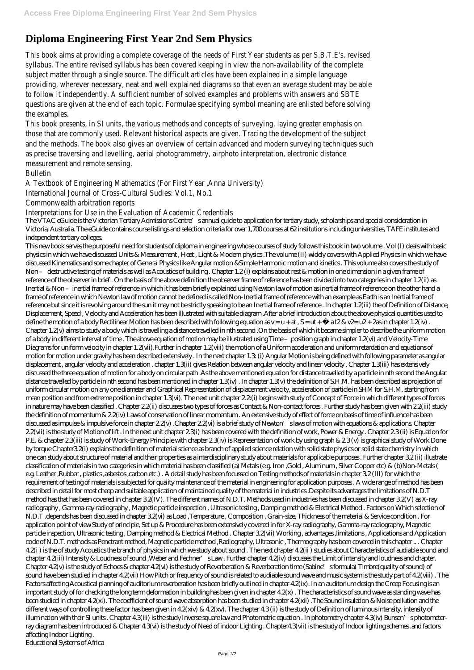## **Diploma Engineering First Year 2nd Sem Physics**

This book aims at providing a complete coverage of the needs of First Year students as per S.B.T.E's. revised syllabus. The entire revised syllabus has been covered keeping in view the non-availability of the complete subject matter through a single source. The difficult articles have been explained in a simple language providing, wherever necessary, neat and well explained diagrams so that even an average student may be able to follow it independently. A sufficient number of solved examples and problems with answers and SBTE questions are given at the end of each topic. Formulae specifying symbol meaning are enlisted before solving the examples.

The VTAC eGuide is the Victorian Tertiary Admissions Centre's annual guide to application for tertiary study, scholarships and special consideration in Victoria, Australia. The eGuide contains course listings and selection criteria for over 1,700 courses at 62 institutions including universities, TAFE institutes and independent tertiary colleges.

This book presents, in SI units, the various methods and concepts of surveying, laying greater emphasis on those that are commonly used. Relevant historical aspects are given. Tracing the development of the subject and the methods. The book also gives an overview of certain advanced and modern surveying techniques such as precise traversing and levelling, aerial photogrammetry, airphoto interpretation, electronic distance measurement and remote sensing.

Bulletin

A Textbook of Engineering Mathematics (For First Year ,Anna University)

International Journal of Cross-Cultural Sudies: Vol.1, No.1

Commonwealth arbitration reports

Interpretations for Use in the Evaluation of Academic Credentials

This new book serves the purposeful need for students of diploma in engineering whose courses of study follows this book in two volume . Vol (I) deals with basic physics in which we have discussed Units & Measurement , Heat , Light & Modern physics .The volume (II) widely covers with Applied Physics in which we have discussed Kinematics and some chapter of General Physics like Angular motion &Simple Harmonic motion and kinetics . This volume also covers the study of Non – destructive testing of materials as well as Acoustics of building. Chapter 1.2 (i) explains about rest & motion in one dimension in a given frame of reference of the observer in brief . On the basis of the above definition the observer frame of reference has been divided into two categories in chapter 1.2(ii) as Inertial & Non-inertial frame of reference in which it has been briefly explained using Newton law of motion as inertial frame of reference on the other hand a frame of reference in which Newton law of motion cannot be defined is called Non-Inertial frame of reference with an example as Earth is an Inertial frame of reference but since it is revolving around the sun it may not be strictly speaking to be an Inertial frame of reference . In chapter 1.2(iii) the of Definition of Distance, Displacement, Speed , Velocity and Acceleration has been illustrated with suitable diagram .After a brief introduction about the above physical quantities used to define the motion of a body Rectilinear Motion has been described with following equation as  $v = u + at$ ,  $S = ut + \frac{1}{2}$  at  $2 \& v = u^2 + 2$ as in chapter 1.2(iv). Chapter 1.2(v) aims to study a body which is travelling a distance travelled in nth second .On the basis of which it became simpler to describe the uniform motion of a body in different interval of time. The above equation of motion may be illustrated using Time – position graph in chapter 1.2(vi) and Velocity-Time Diagrams for uniform velocity in chapter 1.2(vii).Further in chapter 1.2(viii) the motion of a Uniform acceleration and uniform retardation and equations of motion for motion under gravity has been described extensively . In the next chapter 1.3: (i) Angular Motion is being defined with following parameter as angular displacement , angular velocity and acceleration . chapter 1.3(ii) gives Relation between angular velocity and linear velocity . Chapter 1.3(iii) has extensively discussed the three equation of motion for a body on circular path .As the above mentioned equation for distance travelled by a particle in nth second the Angular distance travelled by particle in nth second has been mentioned in chapter 1.3(iv) . In chapter 1.3(v) the definition of S.H.M. has been described as projection of uniform circular motion on any one diameter and Graphical Representation of displacement velocity, acceleration of particle in SHM for S.H.M. starting from mean position and from extreme position in chapter 1.3(vi). The next unit chapter 2.2(i) begins with study of Concept of Force in which different types of forces in nature may have been classified. Chapter 2.2(ii) discusses two types of forces as Contact & Non-contact forces. Further study has been given with 2.2(iii) study the definition of momentum & 2.2(iv) Laws of conservation of linear momentum . An extensive study of effect of force on basis of time of influence has been discussed as impulsive force in chapter 2.2(v). Chapter 2.2(vi) is a brief study of Newton's laws of motion with equations & applications. Chapter 2.2(vii) is the study of Motion of lift . In the next unit chapter 2.3(i) has been covered with the definition of work, Power & Energy . Chapter 2.3 (ii) is Equation for P.E. & chapter 2.3(iii) is study of Work-Energy Principle with chapter 2.3(iv) is Representation of work by using graph & 2.3 (v) is graphical study of Work Done by torque Chapter3.2(i) explains the definition of material science as branch of applied science relation with solid state physics or solid state chemistry in which one can study about structure of material and their properties as a interdisciplinary study about materials for applicable purposes . Further chapter 3.2 (ii) illustrate classification of materials in two categories in which material has been classified (a) Metals (e.g. Iron ,Gold , Aluminum , Silver Copper etc) & (b)Non-Metals ( e.g. Leather ,Rubber , plastics ,asbestos ,carbon etc.) . A detail study has been focussed on Testing methods of materials in chapter 3.2 (III) for which the requirement of testing of materials is subjected for quality maintenance of the material in engineering for application purposes . A wide range of method has been described in detail for most cheap and suitable application of maintained quality of the material in industries .Despite its advantages the limitations of N.D.T method has that has been covered in chapter 3.2(IV). The different names of N.D.T. Methods used in industries has been discussed in chapter 3.2(V) as X-ray radiography , Gamma-ray radiography , Magnetic particle inspection , Ultrasonic testing , Damping method & Electrical Method . Factors on Which selection of N.D.T .depends has been discussed in chapter 3.2(vi) as Load ,Temperature , Composition , Grain-size, Thickness of the material & Service condition . For application point of view Study of principle, Set up & Procedure has been extensively covered in for X-ray radiography, Gamma-ray radiography, Magnetic particle inspection, Ultrasonic testing , Damping method & Electrical Method . Chapter 3.2(vii) Working , advantages ,limitations , Applications and Application code of N.D.T. methods as Penetrant method, Magnetic particle method ,Radiography, Ultrasonic , Thermography has been covered in this chapter .. . Chapter 4.2(i ) is the of study Acoustics the branch of physics in which we study about sound . The next chapter 4.2(ii ) studies about Characteristics of audiable sound and chapter 4.2(iii) Intensity & Loudness of sound ,Weber and Fechner's Law . Further chapter 4.2(iv) discusses the Limit of intensity and loudness and chapter. Chapter 4.2(v) is the study of Echoes & chapter 4.2(vi) is the study of Reverberation & Reverberation time (Sabine's formula) Timbre(quality of sound) of sound have been studied in chapter 4.2(vii) How Pitch or frequency of sound is related to audiable sound wave and music system is the study part of 4.2(viii) . The Factors affecting Acoustical planning of auditorium reverberation has been briefly outlined in chapter 4.2(ix). In an auditorium design the Creep Focusing is an important study of for checking the long term deformation in building has been given in chapter 4.2(x) . The characteristics of sound wave as standing wave has been studied in chapter 4.2(xi). The coefficient of sound wave absorption has been studied in chapter 4.2(xii) .The Sound insulation & Noise pollution and the different ways of controlling these factor has been given in  $4.2(xiv)$  &  $4.2(xv)$ . The chapter  $4.3(ii)$  is the study of Definition of luminous intensity, intensity of illumination with their SI units . Chapter 4.3(iii) is the study Inverse square law and Photometric equation . In photometry chapter 4.3(iv) Bunsen's photometerray diagram has been introduced & Chapter 4.3(vi) is the study of Need of indoor Lighting . Chapter4.3(vii) is the study of Indoor lighting schemes .and factors affecting Indoor Lighting . Educational Systems of Africa